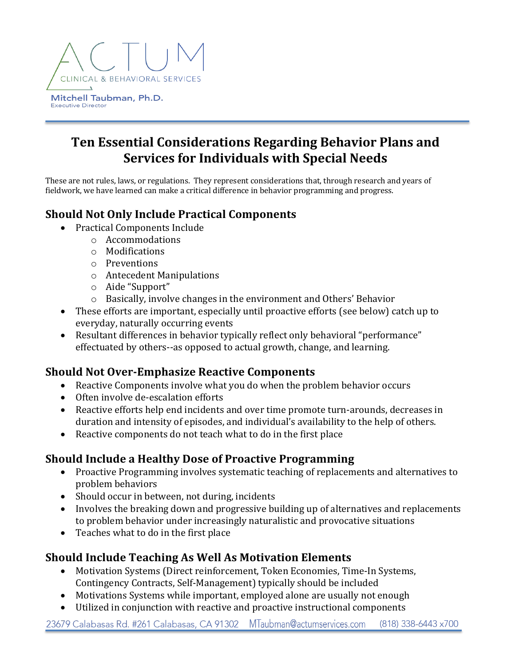

# **Ten Essential Considerations Regarding Behavior Plans and Services for Individuals with Special Needs**

These are not rules, laws, or regulations. They represent considerations that, through research and years of fieldwork, we have learned can make a critical difference in behavior programming and progress.

#### **Should Not Only Include Practical Components**

- Practical Components Include
	- o Accommodations
	- o Modifications
	- o Preventions
	- o Antecedent Manipulations
	- $\circ$  Aide "Support"
	- $\circ$  Basically, involve changes in the environment and Others' Behavior
- These efforts are important, especially until proactive efforts (see below) catch up to everyday, naturally occurring events
- Resultant differences in behavior typically reflect only behavioral "performance" effectuated by others--as opposed to actual growth, change, and learning.

#### **Should Not Over-Emphasize Reactive Components**

- Reactive Components involve what you do when the problem behavior occurs
- Often involve de-escalation efforts
- Reactive efforts help end incidents and over time promote turn-arounds, decreases in duration and intensity of episodes, and individual's availability to the help of others.
- Reactive components do not teach what to do in the first place

#### **Should Include a Healthy Dose of Proactive Programming**

- Proactive Programming involves systematic teaching of replacements and alternatives to problem behaviors
- Should occur in between, not during, incidents
- Involves the breaking down and progressive building up of alternatives and replacements to problem behavior under increasingly naturalistic and provocative situations
- Teaches what to do in the first place

#### **Should Include Teaching As Well As Motivation Elements**

- Motivation Systems (Direct reinforcement, Token Economies, Time-In Systems, Contingency Contracts, Self-Management) typically should be included
- Motivations Systems while important, employed alone are usually not enough
- Utilized in conjunction with reactive and proactive instructional components